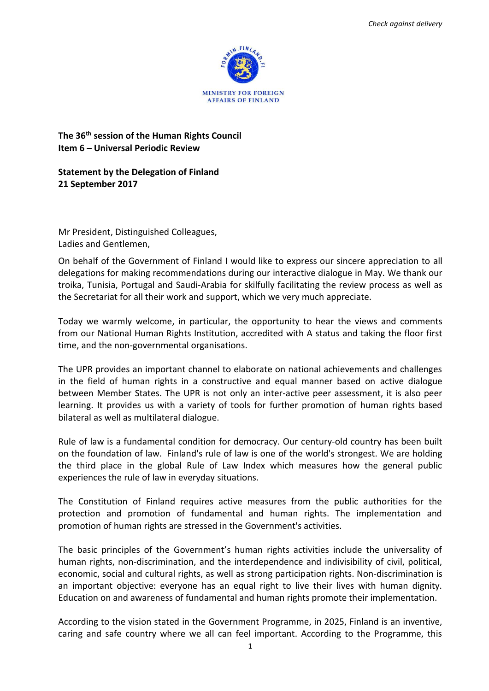

## **The 36th session of the Human Rights Council Item 6 – Universal Periodic Review**

## **Statement by the Delegation of Finland 21 September 2017**

Mr President, Distinguished Colleagues, Ladies and Gentlemen,

On behalf of the Government of Finland I would like to express our sincere appreciation to all delegations for making recommendations during our interactive dialogue in May. We thank our troika, Tunisia, Portugal and Saudi-Arabia for skilfully facilitating the review process as well as the Secretariat for all their work and support, which we very much appreciate.

Today we warmly welcome, in particular, the opportunity to hear the views and comments from our National Human Rights Institution, accredited with A status and taking the floor first time, and the non-governmental organisations.

The UPR provides an important channel to elaborate on national achievements and challenges in the field of human rights in a constructive and equal manner based on active dialogue between Member States. The UPR is not only an inter-active peer assessment, it is also peer learning. It provides us with a variety of tools for further promotion of human rights based bilateral as well as multilateral dialogue.

Rule of law is a fundamental condition for democracy. Our century-old country has been built on the foundation of law. Finland's rule of law is one of the world's strongest. We are holding the third place in the global Rule of Law Index which measures how the general public experiences the rule of law in everyday situations.

The Constitution of Finland requires active measures from the public authorities for the protection and promotion of fundamental and human rights. The implementation and promotion of human rights are stressed in the Government's activities.

The basic principles of the Government's human rights activities include the universality of human rights, non-discrimination, and the interdependence and indivisibility of civil, political, economic, social and cultural rights, as well as strong participation rights. Non-discrimination is an important objective: everyone has an equal right to live their lives with human dignity. Education on and awareness of fundamental and human rights promote their implementation.

According to the vision stated in the Government Programme, in 2025, Finland is an inventive, caring and safe country where we all can feel important. According to the Programme, this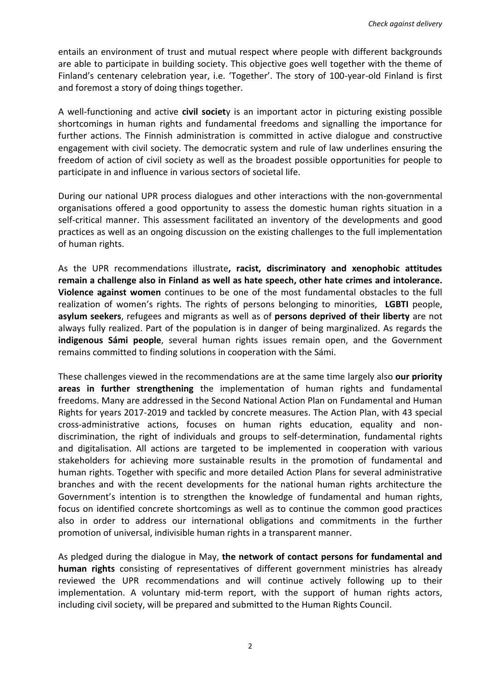entails an environment of trust and mutual respect where people with different backgrounds are able to participate in building society. This objective goes well together with the theme of Finland's centenary celebration year, i.e. 'Together'. The story of 100-year-old Finland is first and foremost a story of doing things together.

A well-functioning and active **civil societ**y is an important actor in picturing existing possible shortcomings in human rights and fundamental freedoms and signalling the importance for further actions. The Finnish administration is committed in active dialogue and constructive engagement with civil society. The democratic system and rule of law underlines ensuring the freedom of action of civil society as well as the broadest possible opportunities for people to participate in and influence in various sectors of societal life.

During our national UPR process dialogues and other interactions with the non-governmental organisations offered a good opportunity to assess the domestic human rights situation in a self-critical manner. This assessment facilitated an inventory of the developments and good practices as well as an ongoing discussion on the existing challenges to the full implementation of human rights.

As the UPR recommendations illustrate**, racist, discriminatory and xenophobic attitudes remain a challenge also in Finland as well as hate speech, other hate crimes and intolerance. Violence against women** continues to be one of the most fundamental obstacles to the full realization of women's rights. The rights of persons belonging to minorities, **LGBTI** people, **asylum seekers**, refugees and migrants as well as of **persons deprived of their liberty** are not always fully realized. Part of the population is in danger of being marginalized. As regards the **indigenous Sámi people**, several human rights issues remain open, and the Government remains committed to finding solutions in cooperation with the Sámi.

These challenges viewed in the recommendations are at the same time largely also **our priority areas in further strengthening** the implementation of human rights and fundamental freedoms. Many are addressed in the Second National Action Plan on Fundamental and Human Rights for years 2017-2019 and tackled by concrete measures. The Action Plan, with 43 special cross-administrative actions, focuses on human rights education, equality and nondiscrimination, the right of individuals and groups to self-determination, fundamental rights and digitalisation. All actions are targeted to be implemented in cooperation with various stakeholders for achieving more sustainable results in the promotion of fundamental and human rights. Together with specific and more detailed Action Plans for several administrative branches and with the recent developments for the national human rights architecture the Government's intention is to strengthen the knowledge of fundamental and human rights, focus on identified concrete shortcomings as well as to continue the common good practices also in order to address our international obligations and commitments in the further promotion of universal, indivisible human rights in a transparent manner.

As pledged during the dialogue in May, **the network of contact persons for fundamental and human rights** consisting of representatives of different government ministries has already reviewed the UPR recommendations and will continue actively following up to their implementation. A voluntary mid-term report, with the support of human rights actors, including civil society, will be prepared and submitted to the Human Rights Council.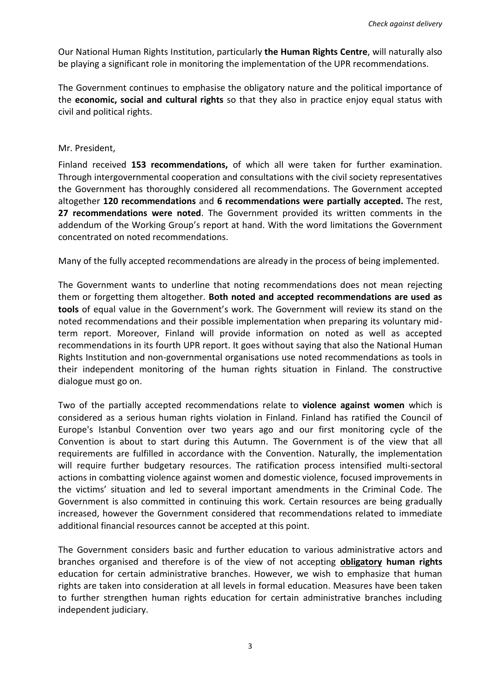Our National Human Rights Institution, particularly **the Human Rights Centre**, will naturally also be playing a significant role in monitoring the implementation of the UPR recommendations.

The Government continues to emphasise the obligatory nature and the political importance of the **economic, social and cultural rights** so that they also in practice enjoy equal status with civil and political rights.

## Mr. President,

Finland received **153 recommendations,** of which all were taken for further examination. Through intergovernmental cooperation and consultations with the civil society representatives the Government has thoroughly considered all recommendations. The Government accepted altogether **120 recommendations** and **6 recommendations were partially accepted.** The rest, **27 recommendations were noted**. The Government provided its written comments in the addendum of the Working Group's report at hand. With the word limitations the Government concentrated on noted recommendations.

Many of the fully accepted recommendations are already in the process of being implemented.

The Government wants to underline that noting recommendations does not mean rejecting them or forgetting them altogether. **Both noted and accepted recommendations are used as tools** of equal value in the Government's work. The Government will review its stand on the noted recommendations and their possible implementation when preparing its voluntary midterm report. Moreover, Finland will provide information on noted as well as accepted recommendations in its fourth UPR report. It goes without saying that also the National Human Rights Institution and non-governmental organisations use noted recommendations as tools in their independent monitoring of the human rights situation in Finland. The constructive dialogue must go on.

Two of the partially accepted recommendations relate to **violence against women** which is considered as a serious human rights violation in Finland. Finland has ratified the Council of Europe's Istanbul Convention over two years ago and our first monitoring cycle of the Convention is about to start during this Autumn. The Government is of the view that all requirements are fulfilled in accordance with the Convention. Naturally, the implementation will require further budgetary resources. The ratification process intensified multi-sectoral actions in combatting violence against women and domestic violence, focused improvements in the victims' situation and led to several important amendments in the Criminal Code. The Government is also committed in continuing this work. Certain resources are being gradually increased, however the Government considered that recommendations related to immediate additional financial resources cannot be accepted at this point.

The Government considers basic and further education to various administrative actors and branches organised and therefore is of the view of not accepting **obligatory human rights** education for certain administrative branches. However, we wish to emphasize that human rights are taken into consideration at all levels in formal education. Measures have been taken to further strengthen human rights education for certain administrative branches including independent judiciary.